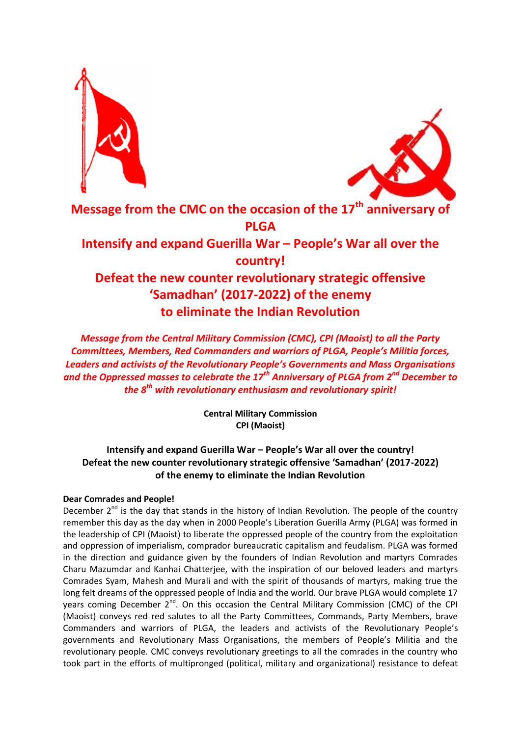



# **Message from the CMC on the occasion of the 17th anniversary of PLGA Intensify and expand Guerilla War – People's War all over the country! Defeat the new counter revolutionary strategic offensive 'Samadhan' (2017-2022) of the enemy to eliminate the Indian Revolution**

*Message from the Central Military Commission (CMC), CPI (Maoist) to all the Party Committees, Members, Red Commanders and warriors of PLGA, People's Militia forces, Leaders and activists of the Revolutionary People's Governments and Mass Organisations and the Oppressed masses to celebrate the 17th Anniversary of PLGA from 2nd December to the 8th with revolutionary enthusiasm and revolutionary spirit!*

> **Central Military Commission CPI (Maoist)**

# **Intensify and expand Guerilla War – People's War all over the country! Defeat the new counter revolutionary strategic offensive 'Samadhan' (2017-2022) of the enemy to eliminate the Indian Revolution**

# **Dear Comrades and People!**

December  $2^{nd}$  is the day that stands in the history of Indian Revolution. The people of the country remember this day as the day when in 2000 People's Liberation Guerilla Army (PLGA) was formed in the leadership of CPI (Maoist) to liberate the oppressed people of the country from the exploitation and oppression of imperialism, comprador bureaucratic capitalism and feudalism. PLGA was formed in the direction and guidance given by the founders of Indian Revolution and martyrs Comrades Charu Mazumdar and Kanhai Chatterjee, with the inspiration of our beloved leaders and martyrs Comrades Syam, Mahesh and Murali and with the spirit of thousands of martyrs, making true the long felt dreams of the oppressed people of India and the world. Our brave PLGA would complete 17 years coming December  $2^{nd}$ . On this occasion the Central Military Commission (CMC) of the CPI (Maoist) conveys red red salutes to all the Party Committees, Commands, Party Members, brave Commanders and warriors of PLGA, the leaders and activists of the Revolutionary People's governments and Revolutionary Mass Organisations, the members of People's Militia and the revolutionary people. CMC conveys revolutionary greetings to all the comrades in the country who took part in the efforts of multipronged (political, military and organizational) resistance to defeat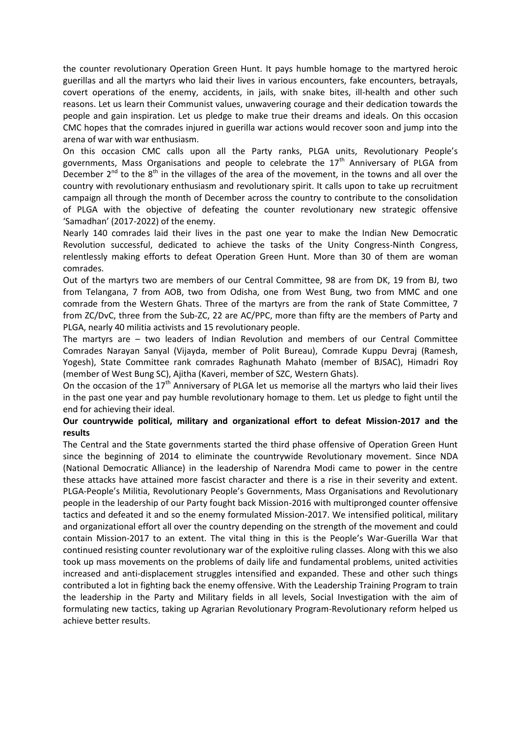the counter revolutionary Operation Green Hunt. It pays humble homage to the martyred heroic guerillas and all the martyrs who laid their lives in various encounters, fake encounters, betrayals, covert operations of the enemy, accidents, in jails, with snake bites, ill-health and other such reasons. Let us learn their Communist values, unwavering courage and their dedication towards the people and gain inspiration. Let us pledge to make true their dreams and ideals. On this occasion CMC hopes that the comrades injured in guerilla war actions would recover soon and jump into the arena of war with war enthusiasm.

On this occasion CMC calls upon all the Party ranks, PLGA units, Revolutionary People's governments, Mass Organisations and people to celebrate the  $17<sup>th</sup>$  Anniversary of PLGA from December  $2^{nd}$  to the  $8^{th}$  in the villages of the area of the movement, in the towns and all over the country with revolutionary enthusiasm and revolutionary spirit. It calls upon to take up recruitment campaign all through the month of December across the country to contribute to the consolidation of PLGA with the objective of defeating the counter revolutionary new strategic offensive 'Samadhan' (2017-2022) of the enemy.

Nearly 140 comrades laid their lives in the past one year to make the Indian New Democratic Revolution successful, dedicated to achieve the tasks of the Unity Congress-Ninth Congress, relentlessly making efforts to defeat Operation Green Hunt. More than 30 of them are woman comrades.

Out of the martyrs two are members of our Central Committee, 98 are from DK, 19 from BJ, two from Telangana, 7 from AOB, two from Odisha, one from West Bung, two from MMC and one comrade from the Western Ghats. Three of the martyrs are from the rank of State Committee, 7 from ZC/DvC, three from the Sub-ZC, 22 are AC/PPC, more than fifty are the members of Party and PLGA, nearly 40 militia activists and 15 revolutionary people.

The martyrs are – two leaders of Indian Revolution and members of our Central Committee Comrades Narayan Sanyal (Vijayda, member of Polit Bureau), Comrade Kuppu Devraj (Ramesh, Yogesh), State Committee rank comrades Raghunath Mahato (member of BJSAC), Himadri Roy (member of West Bung SC), Ajitha (Kaveri, member of SZC, Western Ghats).

On the occasion of the  $17<sup>th</sup>$  Anniversary of PLGA let us memorise all the martyrs who laid their lives in the past one year and pay humble revolutionary homage to them. Let us pledge to fight until the end for achieving their ideal.

# **Our countrywide political, military and organizational effort to defeat Mission-2017 and the results**

The Central and the State governments started the third phase offensive of Operation Green Hunt since the beginning of 2014 to eliminate the countrywide Revolutionary movement. Since NDA (National Democratic Alliance) in the leadership of Narendra Modi came to power in the centre these attacks have attained more fascist character and there is a rise in their severity and extent. PLGA-People's Militia, Revolutionary People's Governments, Mass Organisations and Revolutionary people in the leadership of our Party fought back Mission-2016 with multipronged counter offensive tactics and defeated it and so the enemy formulated Mission-2017. We intensified political, military and organizational effort all over the country depending on the strength of the movement and could contain Mission-2017 to an extent. The vital thing in this is the People's War-Guerilla War that continued resisting counter revolutionary war of the exploitive ruling classes. Along with this we also took up mass movements on the problems of daily life and fundamental problems, united activities increased and anti-displacement struggles intensified and expanded. These and other such things contributed a lot in fighting back the enemy offensive. With the Leadership Training Program to train the leadership in the Party and Military fields in all levels, Social Investigation with the aim of formulating new tactics, taking up Agrarian Revolutionary Program-Revolutionary reform helped us achieve better results.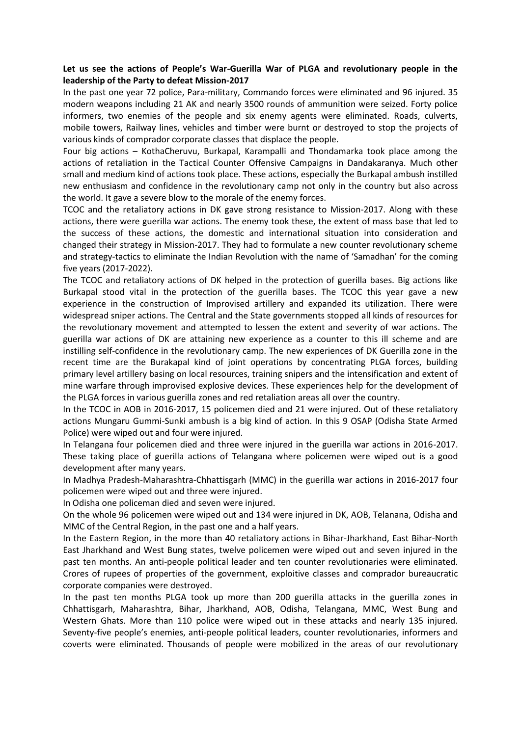# **Let us see the actions of People's War-Guerilla War of PLGA and revolutionary people in the leadership of the Party to defeat Mission-2017**

In the past one year 72 police, Para-military, Commando forces were eliminated and 96 injured. 35 modern weapons including 21 AK and nearly 3500 rounds of ammunition were seized. Forty police informers, two enemies of the people and six enemy agents were eliminated. Roads, culverts, mobile towers, Railway lines, vehicles and timber were burnt or destroyed to stop the projects of various kinds of comprador corporate classes that displace the people.

Four big actions – KothaCheruvu, Burkapal, Karampalli and Thondamarka took place among the actions of retaliation in the Tactical Counter Offensive Campaigns in Dandakaranya. Much other small and medium kind of actions took place. These actions, especially the Burkapal ambush instilled new enthusiasm and confidence in the revolutionary camp not only in the country but also across the world. It gave a severe blow to the morale of the enemy forces.

TCOC and the retaliatory actions in DK gave strong resistance to Mission-2017. Along with these actions, there were guerilla war actions. The enemy took these, the extent of mass base that led to the success of these actions, the domestic and international situation into consideration and changed their strategy in Mission-2017. They had to formulate a new counter revolutionary scheme and strategy-tactics to eliminate the Indian Revolution with the name of 'Samadhan' for the coming five years (2017-2022).

The TCOC and retaliatory actions of DK helped in the protection of guerilla bases. Big actions like Burkapal stood vital in the protection of the guerilla bases. The TCOC this year gave a new experience in the construction of Improvised artillery and expanded its utilization. There were widespread sniper actions. The Central and the State governments stopped all kinds of resources for the revolutionary movement and attempted to lessen the extent and severity of war actions. The guerilla war actions of DK are attaining new experience as a counter to this ill scheme and are instilling self-confidence in the revolutionary camp. The new experiences of DK Guerilla zone in the recent time are the Burakapal kind of joint operations by concentrating PLGA forces, building primary level artillery basing on local resources, training snipers and the intensification and extent of mine warfare through improvised explosive devices. These experiences help for the development of the PLGA forces in various guerilla zones and red retaliation areas all over the country.

In the TCOC in AOB in 2016-2017, 15 policemen died and 21 were injured. Out of these retaliatory actions Mungaru Gummi-Sunki ambush is a big kind of action. In this 9 OSAP (Odisha State Armed Police) were wiped out and four were injured.

In Telangana four policemen died and three were injured in the guerilla war actions in 2016-2017. These taking place of guerilla actions of Telangana where policemen were wiped out is a good development after many years.

In Madhya Pradesh-Maharashtra-Chhattisgarh (MMC) in the guerilla war actions in 2016-2017 four policemen were wiped out and three were injured.

In Odisha one policeman died and seven were injured.

On the whole 96 policemen were wiped out and 134 were injured in DK, AOB, Telanana, Odisha and MMC of the Central Region, in the past one and a half years.

In the Eastern Region, in the more than 40 retaliatory actions in Bihar-Jharkhand, East Bihar-North East Jharkhand and West Bung states, twelve policemen were wiped out and seven injured in the past ten months. An anti-people political leader and ten counter revolutionaries were eliminated. Crores of rupees of properties of the government, exploitive classes and comprador bureaucratic corporate companies were destroyed.

In the past ten months PLGA took up more than 200 guerilla attacks in the guerilla zones in Chhattisgarh, Maharashtra, Bihar, Jharkhand, AOB, Odisha, Telangana, MMC, West Bung and Western Ghats. More than 110 police were wiped out in these attacks and nearly 135 injured. Seventy-five people's enemies, anti-people political leaders, counter revolutionaries, informers and coverts were eliminated. Thousands of people were mobilized in the areas of our revolutionary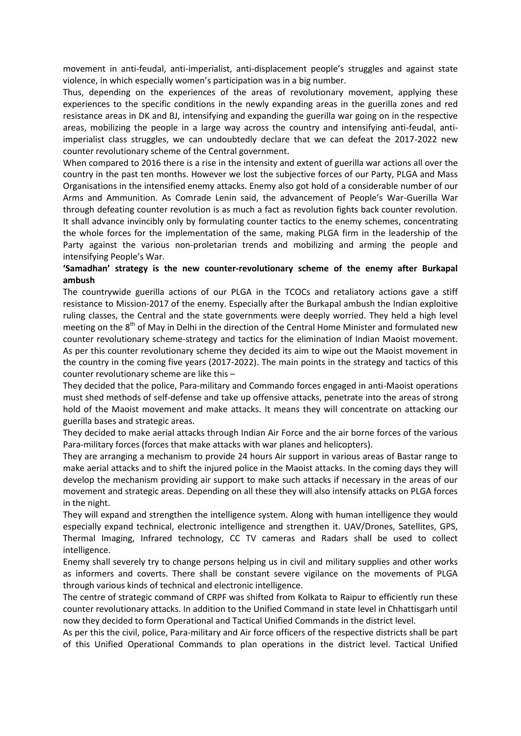movement in anti-feudal, anti-imperialist, anti-displacement people's struggles and against state violence, in which especially women's participation was in a big number.

Thus, depending on the experiences of the areas of revolutionary movement, applying these experiences to the specific conditions in the newly expanding areas in the guerilla zones and red resistance areas in DK and BJ, intensifying and expanding the guerilla war going on in the respective areas, mobilizing the people in a large way across the country and intensifying anti-feudal, antiimperialist class struggles, we can undoubtedly declare that we can defeat the 2017-2022 new counter revolutionary scheme of the Central government.

When compared to 2016 there is a rise in the intensity and extent of guerilla war actions all over the country in the past ten months. However we lost the subjective forces of our Party, PLGA and Mass Organisations in the intensified enemy attacks. Enemy also got hold of a considerable number of our Arms and Ammunition. As Comrade Lenin said, the advancement of People's War-Guerilla War through defeating counter revolution is as much a fact as revolution fights back counter revolution. It shall advance invincibly only by formulating counter tactics to the enemy schemes, concentrating the whole forces for the implementation of the same, making PLGA firm in the leadership of the Party against the various non-proletarian trends and mobilizing and arming the people and intensifying People's War.

# **'Samadhan' strategy is the new counter-revolutionary scheme of the enemy after Burkapal ambush**

The countrywide guerilla actions of our PLGA in the TCOCs and retaliatory actions gave a stiff resistance to Mission-2017 of the enemy. Especially after the Burkapal ambush the Indian exploitive ruling classes, the Central and the state governments were deeply worried. They held a high level meeting on the  $8<sup>th</sup>$  of May in Delhi in the direction of the Central Home Minister and formulated new counter revolutionary scheme-strategy and tactics for the elimination of Indian Maoist movement. As per this counter revolutionary scheme they decided its aim to wipe out the Maoist movement in the country in the coming five years (2017-2022). The main points in the strategy and tactics of this counter revolutionary scheme are like this –

They decided that the police, Para-military and Commando forces engaged in anti-Maoist operations must shed methods of self-defense and take up offensive attacks, penetrate into the areas of strong hold of the Maoist movement and make attacks. It means they will concentrate on attacking our guerilla bases and strategic areas.

They decided to make aerial attacks through Indian Air Force and the air borne forces of the various Para-military forces (forces that make attacks with war planes and helicopters).

They are arranging a mechanism to provide 24 hours Air support in various areas of Bastar range to make aerial attacks and to shift the injured police in the Maoist attacks. In the coming days they will develop the mechanism providing air support to make such attacks if necessary in the areas of our movement and strategic areas. Depending on all these they will also intensify attacks on PLGA forces in the night.

They will expand and strengthen the intelligence system. Along with human intelligence they would especially expand technical, electronic intelligence and strengthen it. UAV/Drones, Satellites, GPS, Thermal Imaging, Infrared technology, CC TV cameras and Radars shall be used to collect intelligence.

Enemy shall severely try to change persons helping us in civil and military supplies and other works as informers and coverts. There shall be constant severe vigilance on the movements of PLGA through various kinds of technical and electronic intelligence.

The centre of strategic command of CRPF was shifted from Kolkata to Raipur to efficiently run these counter revolutionary attacks. In addition to the Unified Command in state level in Chhattisgarh until now they decided to form Operational and Tactical Unified Commands in the district level.

As per this the civil, police, Para-military and Air force officers of the respective districts shall be part of this Unified Operational Commands to plan operations in the district level. Tactical Unified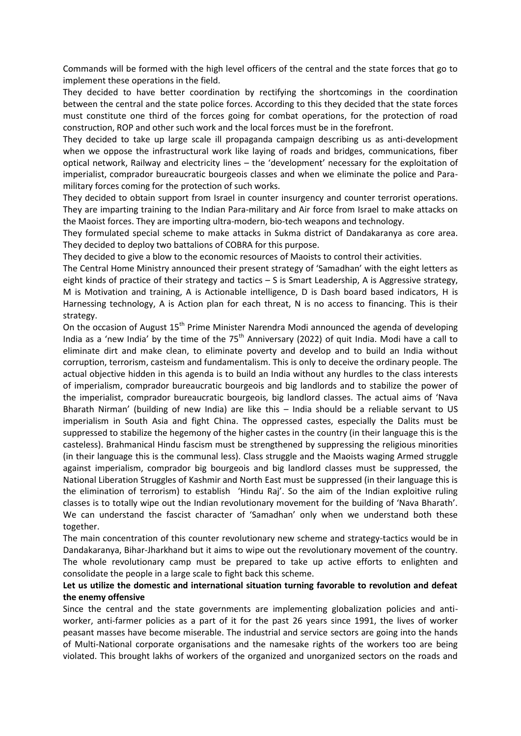Commands will be formed with the high level officers of the central and the state forces that go to implement these operations in the field.

They decided to have better coordination by rectifying the shortcomings in the coordination between the central and the state police forces. According to this they decided that the state forces must constitute one third of the forces going for combat operations, for the protection of road construction, ROP and other such work and the local forces must be in the forefront.

They decided to take up large scale ill propaganda campaign describing us as anti-development when we oppose the infrastructural work like laying of roads and bridges, communications, fiber optical network, Railway and electricity lines – the 'development' necessary for the exploitation of imperialist, comprador bureaucratic bourgeois classes and when we eliminate the police and Paramilitary forces coming for the protection of such works.

They decided to obtain support from Israel in counter insurgency and counter terrorist operations. They are imparting training to the Indian Para-military and Air force from Israel to make attacks on the Maoist forces. They are importing ultra-modern, bio-tech weapons and technology.

They formulated special scheme to make attacks in Sukma district of Dandakaranya as core area. They decided to deploy two battalions of COBRA for this purpose.

They decided to give a blow to the economic resources of Maoists to control their activities.

The Central Home Ministry announced their present strategy of 'Samadhan' with the eight letters as eight kinds of practice of their strategy and tactics – S is Smart Leadership, A is Aggressive strategy, M is Motivation and training, A is Actionable intelligence, D is Dash board based indicators, H is Harnessing technology, A is Action plan for each threat, N is no access to financing. This is their strategy.

On the occasion of August 15<sup>th</sup> Prime Minister Narendra Modi announced the agenda of developing India as a 'new India' by the time of the  $75<sup>th</sup>$  Anniversary (2022) of quit India. Modi have a call to eliminate dirt and make clean, to eliminate poverty and develop and to build an India without corruption, terrorism, casteism and fundamentalism. This is only to deceive the ordinary people. The actual objective hidden in this agenda is to build an India without any hurdles to the class interests of imperialism, comprador bureaucratic bourgeois and big landlords and to stabilize the power of the imperialist, comprador bureaucratic bourgeois, big landlord classes. The actual aims of 'Nava Bharath Nirman' (building of new India) are like this – India should be a reliable servant to US imperialism in South Asia and fight China. The oppressed castes, especially the Dalits must be suppressed to stabilize the hegemony of the higher castes in the country (in their language this is the casteless). Brahmanical Hindu fascism must be strengthened by suppressing the religious minorities (in their language this is the communal less). Class struggle and the Maoists waging Armed struggle against imperialism, comprador big bourgeois and big landlord classes must be suppressed, the National Liberation Struggles of Kashmir and North East must be suppressed (in their language this is the elimination of terrorism) to establish 'Hindu Raj'. So the aim of the Indian exploitive ruling classes is to totally wipe out the Indian revolutionary movement for the building of 'Nava Bharath'. We can understand the fascist character of 'Samadhan' only when we understand both these together.

The main concentration of this counter revolutionary new scheme and strategy-tactics would be in Dandakaranya, Bihar-Jharkhand but it aims to wipe out the revolutionary movement of the country. The whole revolutionary camp must be prepared to take up active efforts to enlighten and consolidate the people in a large scale to fight back this scheme.

# **Let us utilize the domestic and international situation turning favorable to revolution and defeat the enemy offensive**

Since the central and the state governments are implementing globalization policies and antiworker, anti-farmer policies as a part of it for the past 26 years since 1991, the lives of worker peasant masses have become miserable. The industrial and service sectors are going into the hands of Multi-National corporate organisations and the namesake rights of the workers too are being violated. This brought lakhs of workers of the organized and unorganized sectors on the roads and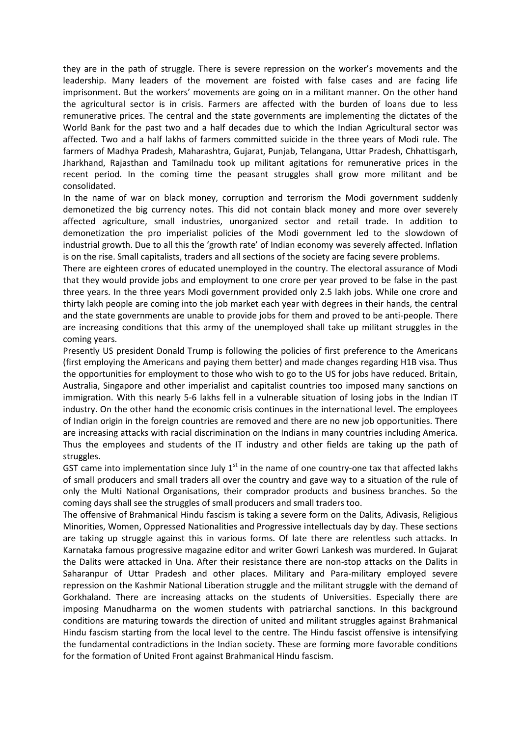they are in the path of struggle. There is severe repression on the worker's movements and the leadership. Many leaders of the movement are foisted with false cases and are facing life imprisonment. But the workers' movements are going on in a militant manner. On the other hand the agricultural sector is in crisis. Farmers are affected with the burden of loans due to less remunerative prices. The central and the state governments are implementing the dictates of the World Bank for the past two and a half decades due to which the Indian Agricultural sector was affected. Two and a half lakhs of farmers committed suicide in the three years of Modi rule. The farmers of Madhya Pradesh, Maharashtra, Gujarat, Punjab, Telangana, Uttar Pradesh, Chhattisgarh, Jharkhand, Rajasthan and Tamilnadu took up militant agitations for remunerative prices in the recent period. In the coming time the peasant struggles shall grow more militant and be consolidated.

In the name of war on black money, corruption and terrorism the Modi government suddenly demonetized the big currency notes. This did not contain black money and more over severely affected agriculture, small industries, unorganized sector and retail trade. In addition to demonetization the pro imperialist policies of the Modi government led to the slowdown of industrial growth. Due to all this the 'growth rate' of Indian economy was severely affected. Inflation is on the rise. Small capitalists, traders and all sections of the society are facing severe problems.

There are eighteen crores of educated unemployed in the country. The electoral assurance of Modi that they would provide jobs and employment to one crore per year proved to be false in the past three years. In the three years Modi government provided only 2.5 lakh jobs. While one crore and thirty lakh people are coming into the job market each year with degrees in their hands, the central and the state governments are unable to provide jobs for them and proved to be anti-people. There are increasing conditions that this army of the unemployed shall take up militant struggles in the coming years.

Presently US president Donald Trump is following the policies of first preference to the Americans (first employing the Americans and paying them better) and made changes regarding H1B visa. Thus the opportunities for employment to those who wish to go to the US for jobs have reduced. Britain, Australia, Singapore and other imperialist and capitalist countries too imposed many sanctions on immigration. With this nearly 5-6 lakhs fell in a vulnerable situation of losing jobs in the Indian IT industry. On the other hand the economic crisis continues in the international level. The employees of Indian origin in the foreign countries are removed and there are no new job opportunities. There are increasing attacks with racial discrimination on the Indians in many countries including America. Thus the employees and students of the IT industry and other fields are taking up the path of struggles.

GST came into implementation since July  $1<sup>st</sup>$  in the name of one country-one tax that affected lakhs of small producers and small traders all over the country and gave way to a situation of the rule of only the Multi National Organisations, their comprador products and business branches. So the coming days shall see the struggles of small producers and small traders too.

The offensive of Brahmanical Hindu fascism is taking a severe form on the Dalits, Adivasis, Religious Minorities, Women, Oppressed Nationalities and Progressive intellectuals day by day. These sections are taking up struggle against this in various forms. Of late there are relentless such attacks. In Karnataka famous progressive magazine editor and writer Gowri Lankesh was murdered. In Gujarat the Dalits were attacked in Una. After their resistance there are non-stop attacks on the Dalits in Saharanpur of Uttar Pradesh and other places. Military and Para-military employed severe repression on the Kashmir National Liberation struggle and the militant struggle with the demand of Gorkhaland. There are increasing attacks on the students of Universities. Especially there are imposing Manudharma on the women students with patriarchal sanctions. In this background conditions are maturing towards the direction of united and militant struggles against Brahmanical Hindu fascism starting from the local level to the centre. The Hindu fascist offensive is intensifying the fundamental contradictions in the Indian society. These are forming more favorable conditions for the formation of United Front against Brahmanical Hindu fascism.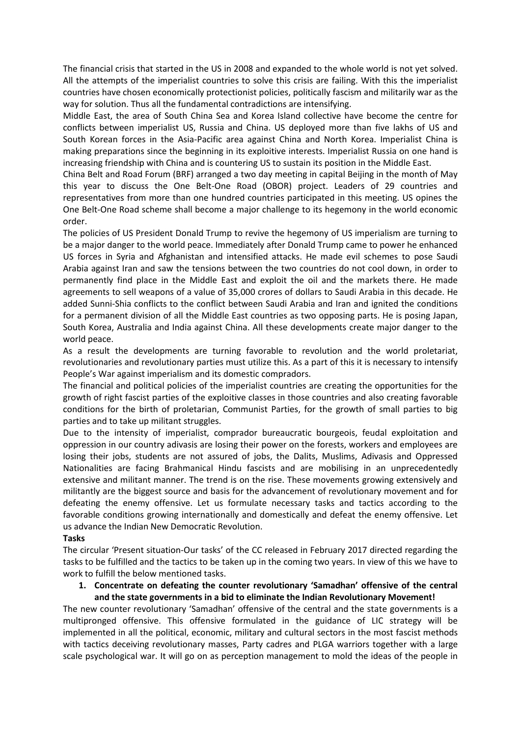The financial crisis that started in the US in 2008 and expanded to the whole world is not yet solved. All the attempts of the imperialist countries to solve this crisis are failing. With this the imperialist countries have chosen economically protectionist policies, politically fascism and militarily war as the way for solution. Thus all the fundamental contradictions are intensifying.

Middle East, the area of South China Sea and Korea Island collective have become the centre for conflicts between imperialist US, Russia and China. US deployed more than five lakhs of US and South Korean forces in the Asia-Pacific area against China and North Korea. Imperialist China is making preparations since the beginning in its exploitive interests. Imperialist Russia on one hand is increasing friendship with China and is countering US to sustain its position in the Middle East.

China Belt and Road Forum (BRF) arranged a two day meeting in capital Beijing in the month of May this year to discuss the One Belt-One Road (OBOR) project. Leaders of 29 countries and representatives from more than one hundred countries participated in this meeting. US opines the One Belt-One Road scheme shall become a major challenge to its hegemony in the world economic order.

The policies of US President Donald Trump to revive the hegemony of US imperialism are turning to be a major danger to the world peace. Immediately after Donald Trump came to power he enhanced US forces in Syria and Afghanistan and intensified attacks. He made evil schemes to pose Saudi Arabia against Iran and saw the tensions between the two countries do not cool down, in order to permanently find place in the Middle East and exploit the oil and the markets there. He made agreements to sell weapons of a value of 35,000 crores of dollars to Saudi Arabia in this decade. He added Sunni-Shia conflicts to the conflict between Saudi Arabia and Iran and ignited the conditions for a permanent division of all the Middle East countries as two opposing parts. He is posing Japan, South Korea, Australia and India against China. All these developments create major danger to the world peace.

As a result the developments are turning favorable to revolution and the world proletariat, revolutionaries and revolutionary parties must utilize this. As a part of this it is necessary to intensify People's War against imperialism and its domestic compradors.

The financial and political policies of the imperialist countries are creating the opportunities for the growth of right fascist parties of the exploitive classes in those countries and also creating favorable conditions for the birth of proletarian, Communist Parties, for the growth of small parties to big parties and to take up militant struggles.

Due to the intensity of imperialist, comprador bureaucratic bourgeois, feudal exploitation and oppression in our country adivasis are losing their power on the forests, workers and employees are losing their jobs, students are not assured of jobs, the Dalits, Muslims, Adivasis and Oppressed Nationalities are facing Brahmanical Hindu fascists and are mobilising in an unprecedentedly extensive and militant manner. The trend is on the rise. These movements growing extensively and militantly are the biggest source and basis for the advancement of revolutionary movement and for defeating the enemy offensive. Let us formulate necessary tasks and tactics according to the favorable conditions growing internationally and domestically and defeat the enemy offensive. Let us advance the Indian New Democratic Revolution.

#### **Tasks**

The circular 'Present situation-Our tasks' of the CC released in February 2017 directed regarding the tasks to be fulfilled and the tactics to be taken up in the coming two years. In view of this we have to work to fulfill the below mentioned tasks.

#### **1. Concentrate on defeating the counter revolutionary 'Samadhan' offensive of the central and the state governments in a bid to eliminate the Indian Revolutionary Movement!**

The new counter revolutionary 'Samadhan' offensive of the central and the state governments is a multipronged offensive. This offensive formulated in the guidance of LIC strategy will be implemented in all the political, economic, military and cultural sectors in the most fascist methods with tactics deceiving revolutionary masses, Party cadres and PLGA warriors together with a large scale psychological war. It will go on as perception management to mold the ideas of the people in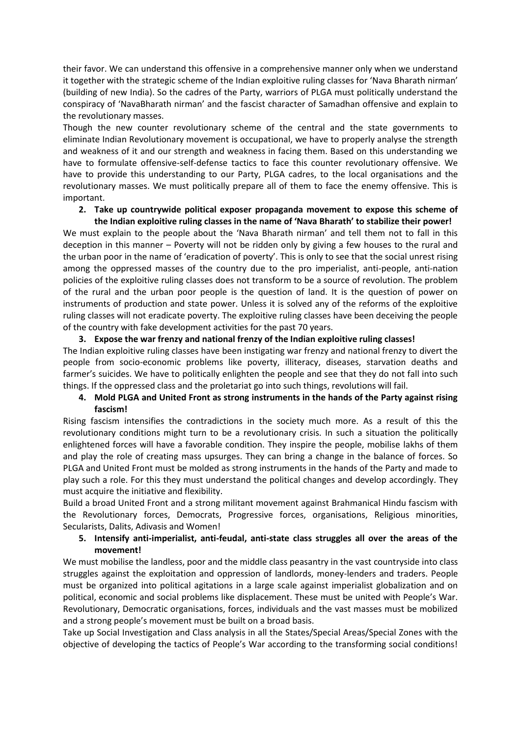their favor. We can understand this offensive in a comprehensive manner only when we understand it together with the strategic scheme of the Indian exploitive ruling classes for 'Nava Bharath nirman' (building of new India). So the cadres of the Party, warriors of PLGA must politically understand the conspiracy of 'NavaBharath nirman' and the fascist character of Samadhan offensive and explain to the revolutionary masses.

Though the new counter revolutionary scheme of the central and the state governments to eliminate Indian Revolutionary movement is occupational, we have to properly analyse the strength and weakness of it and our strength and weakness in facing them. Based on this understanding we have to formulate offensive-self-defense tactics to face this counter revolutionary offensive. We have to provide this understanding to our Party, PLGA cadres, to the local organisations and the revolutionary masses. We must politically prepare all of them to face the enemy offensive. This is important.

# **2. Take up countrywide political exposer propaganda movement to expose this scheme of the Indian exploitive ruling classes in the name of 'Nava Bharath' to stabilize their power!**

We must explain to the people about the 'Nava Bharath nirman' and tell them not to fall in this deception in this manner – Poverty will not be ridden only by giving a few houses to the rural and the urban poor in the name of 'eradication of poverty'. This is only to see that the social unrest rising among the oppressed masses of the country due to the pro imperialist, anti-people, anti-nation policies of the exploitive ruling classes does not transform to be a source of revolution. The problem of the rural and the urban poor people is the question of land. It is the question of power on instruments of production and state power. Unless it is solved any of the reforms of the exploitive ruling classes will not eradicate poverty. The exploitive ruling classes have been deceiving the people of the country with fake development activities for the past 70 years.

# **3. Expose the war frenzy and national frenzy of the Indian exploitive ruling classes!**

The Indian exploitive ruling classes have been instigating war frenzy and national frenzy to divert the people from socio-economic problems like poverty, illiteracy, diseases, starvation deaths and farmer's suicides. We have to politically enlighten the people and see that they do not fall into such things. If the oppressed class and the proletariat go into such things, revolutions will fail.

# **4. Mold PLGA and United Front as strong instruments in the hands of the Party against rising fascism!**

Rising fascism intensifies the contradictions in the society much more. As a result of this the revolutionary conditions might turn to be a revolutionary crisis. In such a situation the politically enlightened forces will have a favorable condition. They inspire the people, mobilise lakhs of them and play the role of creating mass upsurges. They can bring a change in the balance of forces. So PLGA and United Front must be molded as strong instruments in the hands of the Party and made to play such a role. For this they must understand the political changes and develop accordingly. They must acquire the initiative and flexibility.

Build a broad United Front and a strong militant movement against Brahmanical Hindu fascism with the Revolutionary forces, Democrats, Progressive forces, organisations, Religious minorities, Secularists, Dalits, Adivasis and Women!

# **5. Intensify anti-imperialist, anti-feudal, anti-state class struggles all over the areas of the movement!**

We must mobilise the landless, poor and the middle class peasantry in the vast countryside into class struggles against the exploitation and oppression of landlords, money-lenders and traders. People must be organized into political agitations in a large scale against imperialist globalization and on political, economic and social problems like displacement. These must be united with People's War. Revolutionary, Democratic organisations, forces, individuals and the vast masses must be mobilized and a strong people's movement must be built on a broad basis.

Take up Social Investigation and Class analysis in all the States/Special Areas/Special Zones with the objective of developing the tactics of People's War according to the transforming social conditions!